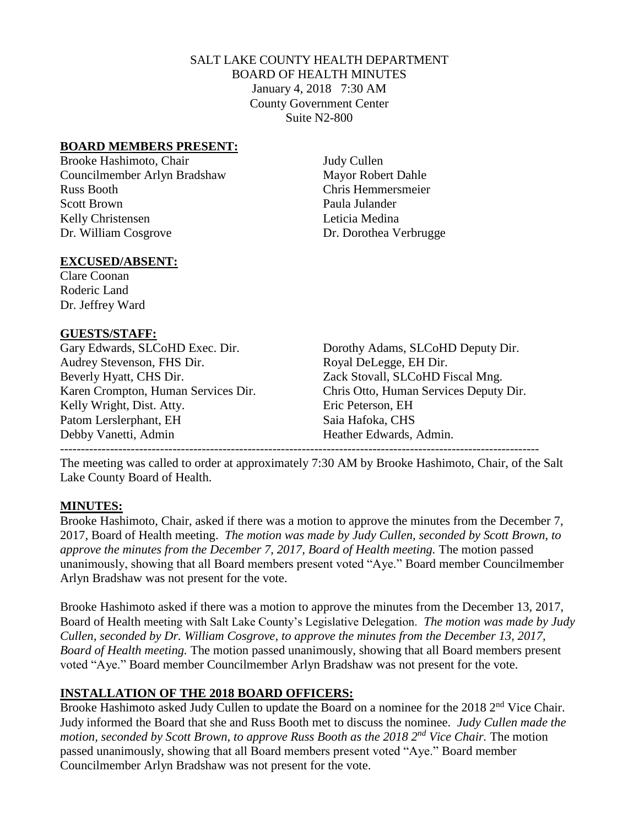# SALT LAKE COUNTY HEALTH DEPARTMENT BOARD OF HEALTH MINUTES January 4, 2018 7:30 AM County Government Center Suite N2-800

#### **BOARD MEMBERS PRESENT:**

Brooke Hashimoto, Chair Judy Cullen Councilmember Arlyn Bradshaw Mayor Robert Dahle Russ Booth Chris Hemmersmeier Scott Brown Paula Julander Kelly Christensen Leticia Medina Dr. William Cosgrove Dr. Dorothea Verbrugge

#### **EXCUSED/ABSENT:**

Clare Coonan Roderic Land Dr. Jeffrey Ward

#### **GUESTS/STAFF:**

Audrey Stevenson, FHS Dir. Royal DeLegge, EH Dir. Beverly Hyatt, CHS Dir. Zack Stovall, SLCoHD Fiscal Mng. Kelly Wright, Dist. Atty. Eric Peterson, EH Patom Lerslerphant, EH Saia Hafoka, CHS Debby Vanetti, Admin Heather Edwards, Admin.

Gary Edwards, SLCoHD Exec. Dir. Dorothy Adams, SLCoHD Deputy Dir. Karen Crompton, Human Services Dir. Chris Otto, Human Services Deputy Dir. -------------------------------------------------------------------------------------------------------------------

The meeting was called to order at approximately 7:30 AM by Brooke Hashimoto, Chair, of the Salt Lake County Board of Health.

# **MINUTES:**

Brooke Hashimoto, Chair, asked if there was a motion to approve the minutes from the December 7, 2017, Board of Health meeting. *The motion was made by Judy Cullen, seconded by Scott Brown, to approve the minutes from the December 7, 2017, Board of Health meeting.* The motion passed unanimously, showing that all Board members present voted "Aye." Board member Councilmember Arlyn Bradshaw was not present for the vote.

Brooke Hashimoto asked if there was a motion to approve the minutes from the December 13, 2017, Board of Health meeting with Salt Lake County's Legislative Delegation. *The motion was made by Judy Cullen, seconded by Dr. William Cosgrove, to approve the minutes from the December 13, 2017, Board of Health meeting.* The motion passed unanimously, showing that all Board members present voted "Aye." Board member Councilmember Arlyn Bradshaw was not present for the vote.

# **INSTALLATION OF THE 2018 BOARD OFFICERS:**

Brooke Hashimoto asked Judy Cullen to update the Board on a nominee for the 2018 2<sup>nd</sup> Vice Chair. Judy informed the Board that she and Russ Booth met to discuss the nominee. *Judy Cullen made the motion, seconded by Scott Brown, to approve Russ Booth as the 2018 2nd Vice Chair.* The motion passed unanimously, showing that all Board members present voted "Aye." Board member Councilmember Arlyn Bradshaw was not present for the vote.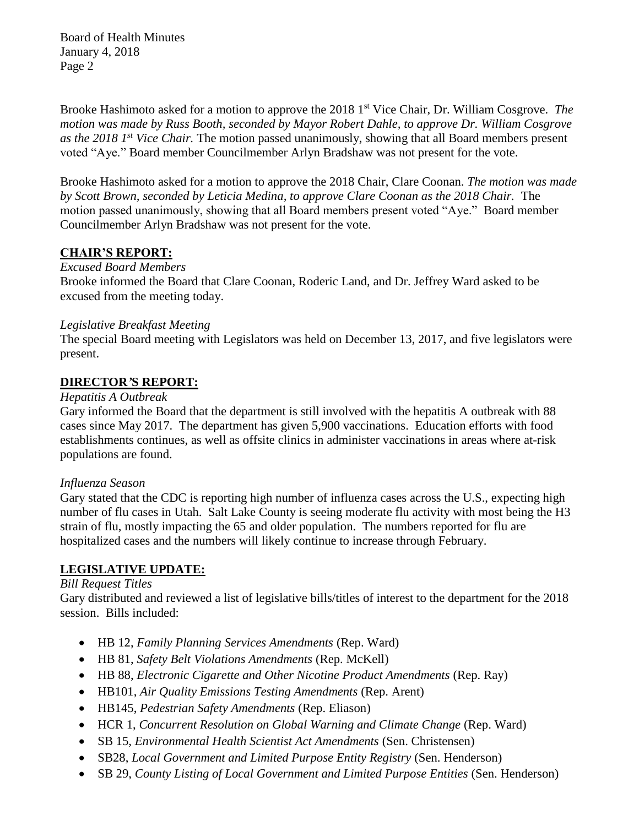Board of Health Minutes January 4, 2018 Page 2

Brooke Hashimoto asked for a motion to approve the 2018 1<sup>st</sup> Vice Chair, Dr. William Cosgrove. *The motion was made by Russ Booth, seconded by Mayor Robert Dahle, to approve Dr. William Cosgrove as the 2018 1 st Vice Chair.* The motion passed unanimously, showing that all Board members present voted "Aye." Board member Councilmember Arlyn Bradshaw was not present for the vote.

Brooke Hashimoto asked for a motion to approve the 2018 Chair, Clare Coonan. *The motion was made by Scott Brown, seconded by Leticia Medina, to approve Clare Coonan as the 2018 Chair.* The motion passed unanimously, showing that all Board members present voted "Aye." Board member Councilmember Arlyn Bradshaw was not present for the vote.

# **CHAIR'S REPORT:**

#### *Excused Board Members*

Brooke informed the Board that Clare Coonan, Roderic Land, and Dr. Jeffrey Ward asked to be excused from the meeting today.

#### *Legislative Breakfast Meeting*

The special Board meeting with Legislators was held on December 13, 2017, and five legislators were present.

# **DIRECTOR***'***S REPORT:**

#### *Hepatitis A Outbreak*

Gary informed the Board that the department is still involved with the hepatitis A outbreak with 88 cases since May 2017. The department has given 5,900 vaccinations. Education efforts with food establishments continues, as well as offsite clinics in administer vaccinations in areas where at-risk populations are found.

# *Influenza Season*

Gary stated that the CDC is reporting high number of influenza cases across the U.S., expecting high number of flu cases in Utah. Salt Lake County is seeing moderate flu activity with most being the H3 strain of flu, mostly impacting the 65 and older population. The numbers reported for flu are hospitalized cases and the numbers will likely continue to increase through February.

# **LEGISLATIVE UPDATE:**

# *Bill Request Titles*

Gary distributed and reviewed a list of legislative bills/titles of interest to the department for the 2018 session. Bills included:

- HB 12, *Family Planning Services Amendments* (Rep. Ward)
- HB 81, *Safety Belt Violations Amendments* (Rep. McKell)
- HB 88, *Electronic Cigarette and Other Nicotine Product Amendments* (Rep. Ray)
- HB101, *Air Quality Emissions Testing Amendments* (Rep. Arent)
- HB145, *Pedestrian Safety Amendments* (Rep. Eliason)
- HCR 1, *Concurrent Resolution on Global Warning and Climate Change* (Rep. Ward)
- SB 15, *Environmental Health Scientist Act Amendments* (Sen. Christensen)
- SB28, *Local Government and Limited Purpose Entity Registry* (Sen. Henderson)
- SB 29, *County Listing of Local Government and Limited Purpose Entities* (Sen. Henderson)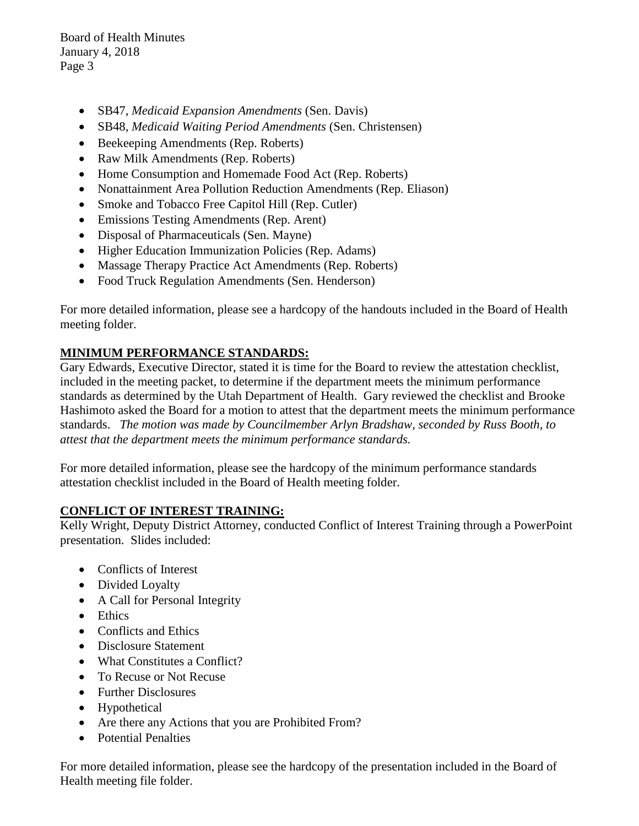Board of Health Minutes January 4, 2018 Page 3

- SB47, *Medicaid Expansion Amendments* (Sen. Davis)
- SB48, *Medicaid Waiting Period Amendments* (Sen. Christensen)
- Beekeeping Amendments (Rep. Roberts)
- Raw Milk Amendments (Rep. Roberts)
- Home Consumption and Homemade Food Act (Rep. Roberts)
- Nonattainment Area Pollution Reduction Amendments (Rep. Eliason)
- Smoke and Tobacco Free Capitol Hill (Rep. Cutler)
- Emissions Testing Amendments (Rep. Arent)
- Disposal of Pharmaceuticals (Sen. Mayne)
- Higher Education Immunization Policies (Rep. Adams)
- Massage Therapy Practice Act Amendments (Rep. Roberts)
- Food Truck Regulation Amendments (Sen. Henderson)

For more detailed information, please see a hardcopy of the handouts included in the Board of Health meeting folder.

# **MINIMUM PERFORMANCE STANDARDS:**

Gary Edwards, Executive Director, stated it is time for the Board to review the attestation checklist, included in the meeting packet, to determine if the department meets the minimum performance standards as determined by the Utah Department of Health. Gary reviewed the checklist and Brooke Hashimoto asked the Board for a motion to attest that the department meets the minimum performance standards. *The motion was made by Councilmember Arlyn Bradshaw, seconded by Russ Booth, to attest that the department meets the minimum performance standards.* 

For more detailed information, please see the hardcopy of the minimum performance standards attestation checklist included in the Board of Health meeting folder.

# **CONFLICT OF INTEREST TRAINING:**

Kelly Wright, Deputy District Attorney, conducted Conflict of Interest Training through a PowerPoint presentation. Slides included:

- Conflicts of Interest
- Divided Loyalty
- A Call for Personal Integrity
- Ethics
- Conflicts and Ethics
- Disclosure Statement
- What Constitutes a Conflict?
- To Recuse or Not Recuse
- Further Disclosures
- Hypothetical
- Are there any Actions that you are Prohibited From?
- Potential Penalties

For more detailed information, please see the hardcopy of the presentation included in the Board of Health meeting file folder.